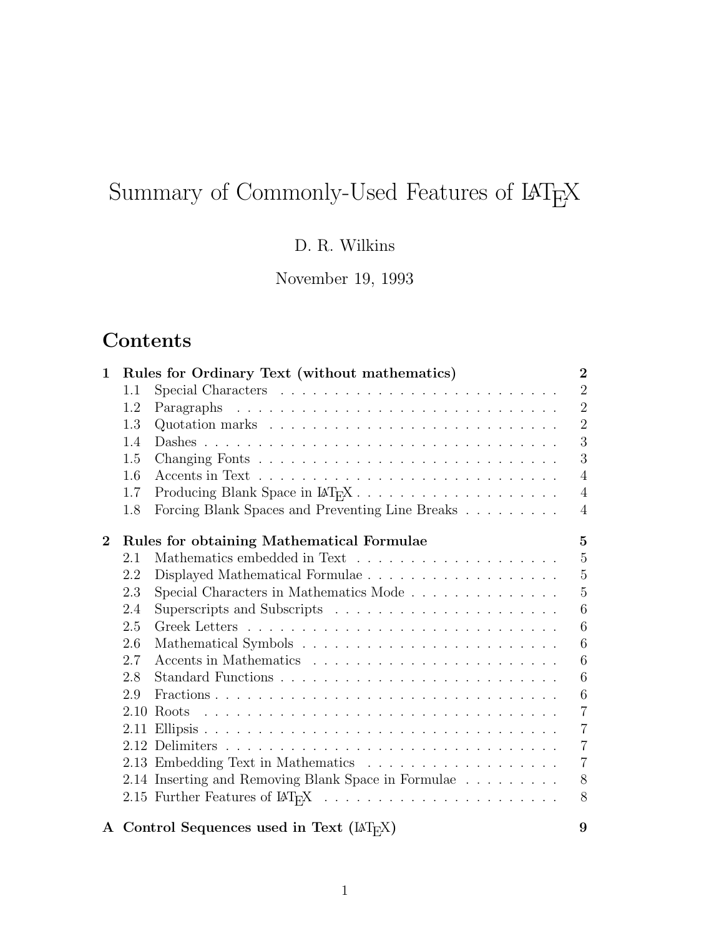# Summary of Commonly-Used Features of  $\text{LAT}_\text{E}\text{X}$

D. R. Wilkins

November 19, 1993

# **Contents**

| 1                |      | Rules for Ordinary Text (without mathematics)                                                   | $\overline{2}$ |
|------------------|------|-------------------------------------------------------------------------------------------------|----------------|
|                  | 1.1  |                                                                                                 | $\overline{2}$ |
|                  | 1.2  |                                                                                                 | $\overline{2}$ |
|                  | 1.3  |                                                                                                 | $\overline{2}$ |
|                  | 1.4  |                                                                                                 | 3              |
|                  | 1.5  |                                                                                                 | 3              |
|                  | 1.6  |                                                                                                 | $\overline{4}$ |
|                  | 1.7  | Producing Blank Space in LAT <sub>R</sub> X                                                     | $\overline{4}$ |
|                  | 1.8  | Forcing Blank Spaces and Preventing Line Breaks                                                 | $\overline{4}$ |
| $\boldsymbol{2}$ |      | Rules for obtaining Mathematical Formulae                                                       | $\overline{5}$ |
|                  | 2.1  |                                                                                                 | $\overline{5}$ |
|                  | 2.2  |                                                                                                 | $\overline{5}$ |
|                  | 2.3  | Special Characters in Mathematics Mode                                                          | 5              |
|                  | 2.4  |                                                                                                 | 6              |
|                  | 2.5  |                                                                                                 | 6              |
|                  | 2.6  |                                                                                                 | 6              |
|                  | 2.7  |                                                                                                 | 6              |
|                  | 2.8  |                                                                                                 | 6              |
|                  | 2.9  |                                                                                                 | 6              |
|                  | 2.10 | <u>. A series and a series and a series and a series and a series and a series and</u><br>Roots | $\overline{7}$ |
|                  |      |                                                                                                 | $\overline{7}$ |
|                  |      |                                                                                                 | $\overline{7}$ |
|                  |      |                                                                                                 | $\overline{7}$ |
|                  |      | 2.14 Inserting and Removing Blank Space in Formulae                                             | 8              |
|                  |      | 2.15 Further Features of $\text{LipX} \dots \dots \dots \dots \dots \dots \dots \dots$          | 8              |
|                  |      | A Control Sequences used in Text $(\mathbb{A}T_FX)$                                             | 9              |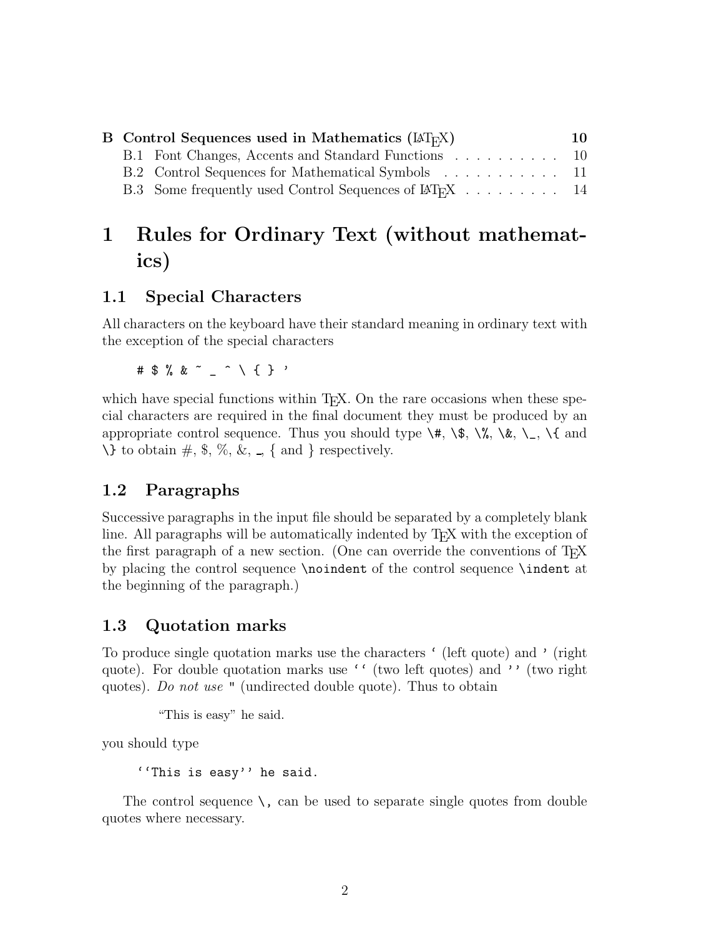| 10                                                                                                                                                                                                                                                              |
|-----------------------------------------------------------------------------------------------------------------------------------------------------------------------------------------------------------------------------------------------------------------|
|                                                                                                                                                                                                                                                                 |
|                                                                                                                                                                                                                                                                 |
|                                                                                                                                                                                                                                                                 |
| <b>B</b> Control Sequences used in Mathematics $(\mathbb{A}\mathbb{T}_{F}X)$<br>B.1 Font Changes, Accents and Standard Functions 10<br>B.2 Control Sequences for Mathematical Symbols 11<br>B.3 Some frequently used Control Sequences of LAT <sub>F</sub> X 14 |

# **1 Rules for Ordinary Text (without mathematics)**

# **1.1 Special Characters**

All characters on the keyboard have their standard meaning in ordinary text with the exception of the special characters

#\$%&~\_^\{}'

which have special functions within  $T<sub>F</sub>X$ . On the rare occasions when these special characters are required in the final document they must be produced by an appropriate control sequence. Thus you should type  $\forall$ ,  $\forall$ ,  $\exists$ ,  $\exists$ ,  $\exists$ ,  $\exists$ ,  $\exists$ , and  $\setminus$  to obtain  $\#$ ,  $\%$ ,  $\%$ ,  $\&$ ,  $\{$  and  $\}$  respectively.

# **1.2 Paragraphs**

Successive paragraphs in the input file should be separated by a completely blank line. All paragraphs will be automatically indented by T<sub>E</sub>X with the exception of the first paragraph of a new section. (One can override the conventions of TEX by placing the control sequence \noindent of the control sequence \indent at the beginning of the paragraph.)

# **1.3 Quotation marks**

To produce single quotation marks use the characters ' (left quote) and ' (right quote). For double quotation marks use '' (two left quotes) and '' (two right quotes). *Do not use* " (undirected double quote). Thus to obtain

"This is easy" he said.

youshould type

''This is easy'' he said.

The control sequence  $\lambda$ , can be used to separate single quotes from double quotes where necessary.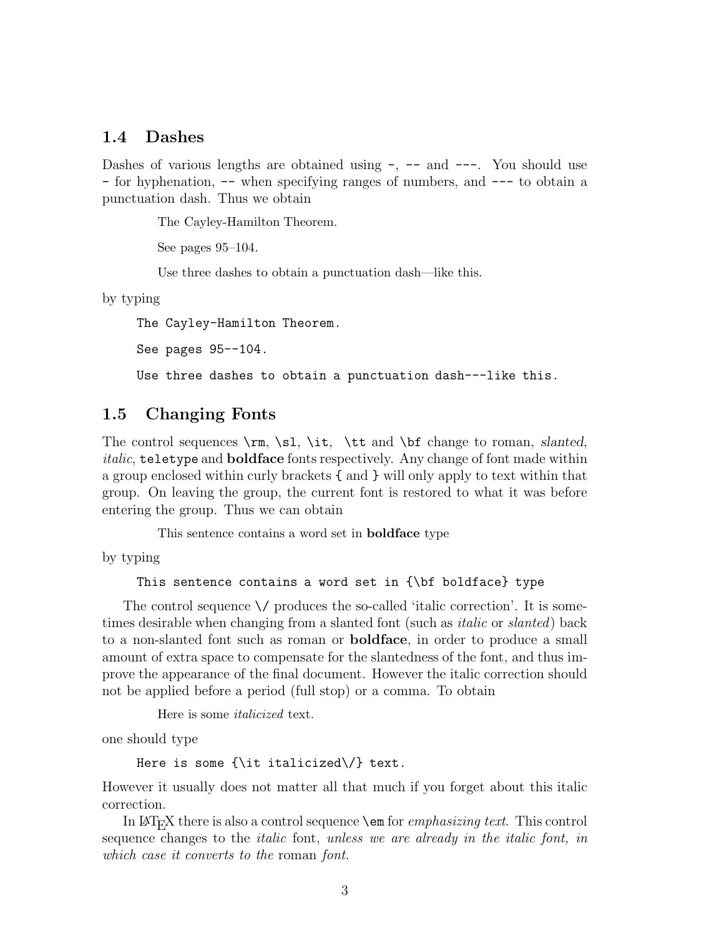#### **1.4 Dashes**

Dashes of various lengths are obtained using  $-$ ,  $-$  and  $-$ -. You should use - for hyphenation, -- when specifying ranges of numbers, and --- to obtain a punctuation dash. Thus we obtain

The Cayley-Hamilton Theorem.

See pages 95–104.

Use three dashes to obtain a punctuation dash—like this.

by typing

The Cayley-Hamilton Theorem.

See pages 95--104.

Use three dashes to obtain a punctuation dash---like this.

#### **1.5 Changing Fonts**

The control sequences \rm, \sl, \it, \tt and \bf change to roman, *slanted*, *italic*, teletype and **boldface** fonts respectively. Any change of font made within a group enclosed within curly brackets { and } will only apply to text within that group. On leaving the group, the current font is restored to what it was before entering the group. Thus we can obtain

This sentence contains a word set in **boldface** type

by typing

This sentence contains a word set in {\bf boldface} type

The control sequence  $\setminus$  produces the so-called 'italic correction'. It is sometimes desirable when changing from a slanted font (such as *italic* or *slanted*) back to a non-slanted font such as roman or **boldface**, in order to produce a small amount of extra space to compensate for the slantedness of the font, and thus improve the appearance of the final document. However the italic correction should not be applied before a period (full stop) or a comma. To obtain

Here is some *italicized* text.

one should type

Here is some  $\{\iota\}$  italicized $\{\iota\}$  text.

However it usually does not matter all that much if you forget about this italic correction.

In LaTEX there is also a control sequence \em for *emphasizing text*. This control sequence changes to the *italic* font, *unless we are already in the italic font, in which case it converts to the* roman *font.*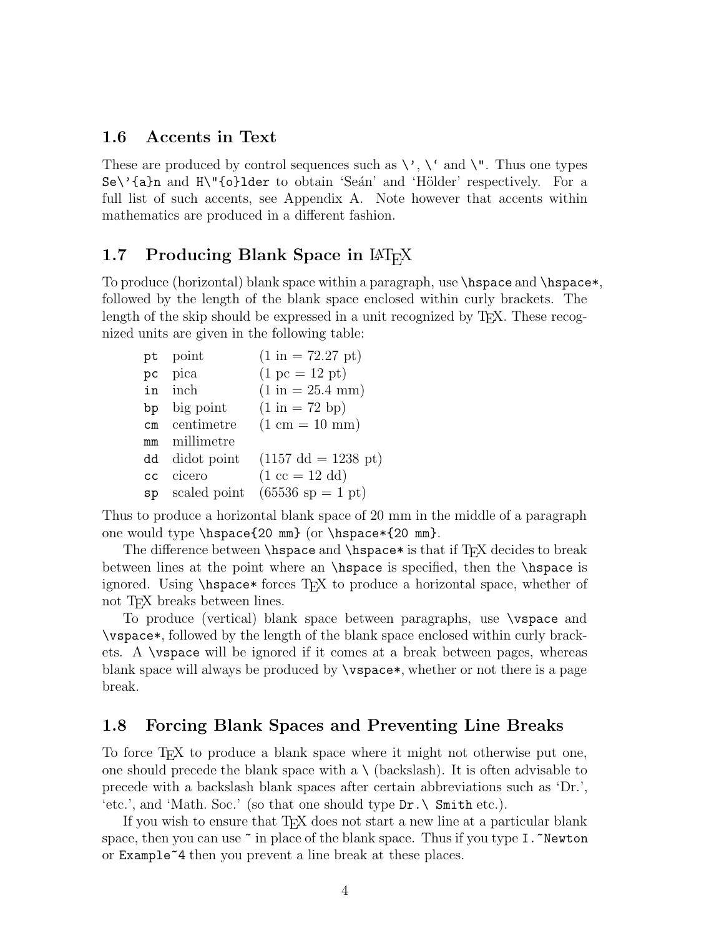#### **1.6 Accents in Text**

These are produced by control sequences such as  $\backslash$ ,  $\backslash$  and  $\backslash$ ". Thus one types Se\'{a}n and H\"{o}lder to obtain 'Seán' and 'Hölder' respectively. For a full list of such accents, see Appendix A. Note however that accents within mathematics are produced in a different fashion.

## **1.7 Producing Blank Space in LAT<sub>E</sub>X**

To produce (horizontal) blank space within a paragraph, use \hspace and \hspace\*, followed by the length of the blank space enclosed within curly brackets. The length of the skip should be expressed in a unit recognized by T<sub>F</sub>X. These recognized units are given in the following table:

| pt | point           | $(1 \text{ in} = 72.27 \text{ pt})$   |
|----|-----------------|---------------------------------------|
| pc | pica            | $(1 pc = 12 pt)$                      |
|    | in inch         | $(1 \text{ in} = 25.4 \text{ mm})$    |
| bp | big point       | $(1 \text{ in} = 72 \text{ bp})$      |
|    | cm centimetre   | $(1 cm = 10 mm)$                      |
| mm | millimetre      |                                       |
|    | dd didot point  | $(1157 \text{ dd} = 1238 \text{ pt})$ |
| cc | cicero          | $(1 \text{ cc} = 12 \text{ dd})$      |
|    | sp scaled point | $(65536 \text{ sp} = 1 \text{ pt})$   |

Thus to produce a horizontal blank space of 20 mm in the middle of a paragraph one would type \hspace{20 mm} (or \hspace\*{20 mm}.

The difference between  $\hbar$ space and  $\hbar$ space\* is that if T<sub>EX</sub> decides to break between lines at the point where an \hspace is specified, then the \hspace is ignored. Using \hspace\* forces TEX to produce a horizontal space, whether of not T<sub>E</sub>X breaks between lines.

To produce (vertical) blank space between paragraphs, use \vspace and \vspace\*, followed by the length of the blank space enclosed within curly brackets. A \vspace will be ignored if it comes at a break between pages, whereas blank space will always be produced by \vspace\*, whether or not there is a page break.

#### **1.8 Forcing Blank Spaces and Preventing Line Breaks**

To force T<sub>E</sub>X to produce a blank space where it might not otherwise put one, one should precede the blank space with a  $\setminus$  (backslash). It is often advisable to precede with a backslash blank spaces after certain abbreviations such as 'Dr.', 'etc.', and 'Math. Soc.' (so that one should type  $Dr. \ \$  Smith etc.).

If you wish to ensure that T<sub>F</sub>X does not start a new line at a particular blank space, then you can use  $\tilde{\ }$  in place of the blank space. Thus if you type I.  $\tilde{\ }$  Newton or Example~4 then youprevent a line break at these places.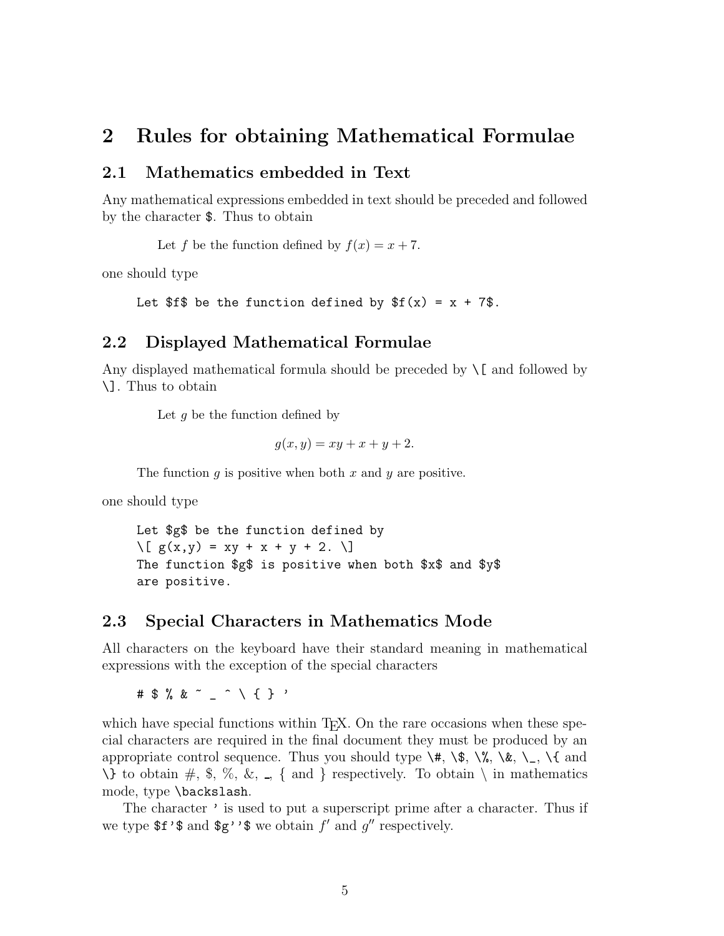# **2 Rules for obtaining Mathematical Formulae**

#### **2.1 Mathematics embedded in Text**

Any mathematical expressions embedded in text should be preceded and followed by the character  $\$ . Thus to obtain

Let *f* be the function defined by  $f(x) = x + 7$ .

one should type

```
Let f be the function defined by f(x) = x + 7.
```
#### **2.2 Displayed Mathematical Formulae**

Any displayed mathematical formula should be preceded by  $\setminus$ [ and followed by  $\setminus$ . Thus to obtain

Let *g* be the function defined by

$$
g(x, y) = xy + x + y + 2.
$$

The function *g* is positive when both *x* and *y* are positive.

one should type

Let \$g\$ be the function defined by  $\[\bigcap g(x,y) = xy + x + y + 2. \]\]$ The function \$g\$ is positive when both \$x\$ and \$y\$ are positive.

#### **2.3 Special Characters in Mathematics Mode**

All characters on the keyboard have their standard meaning in mathematical expressions with the exception of the special characters

#\$%&~\_^\{}'

which have special functions within  $T<sub>F</sub>X$ . On the rare occasions when these special characters are required in the final document they must be produced by an appropriate control sequence. Thus you should type  $\forall$ ,  $\forall$ ,  $\exists$ ,  $\exists$ ,  $\exists$ ,  $\exists$ ,  $\exists$ , and  $\setminus$  to obtain #, \$, %, &, \_, { and } respectively. To obtain  $\setminus$  in mathematics mode, type \backslash.

The character ' is used to put a superscript prime after a character. Thus if we type  $f'$  and  $g'$ '\$ we obtain  $f'$  and  $g''$  respectively.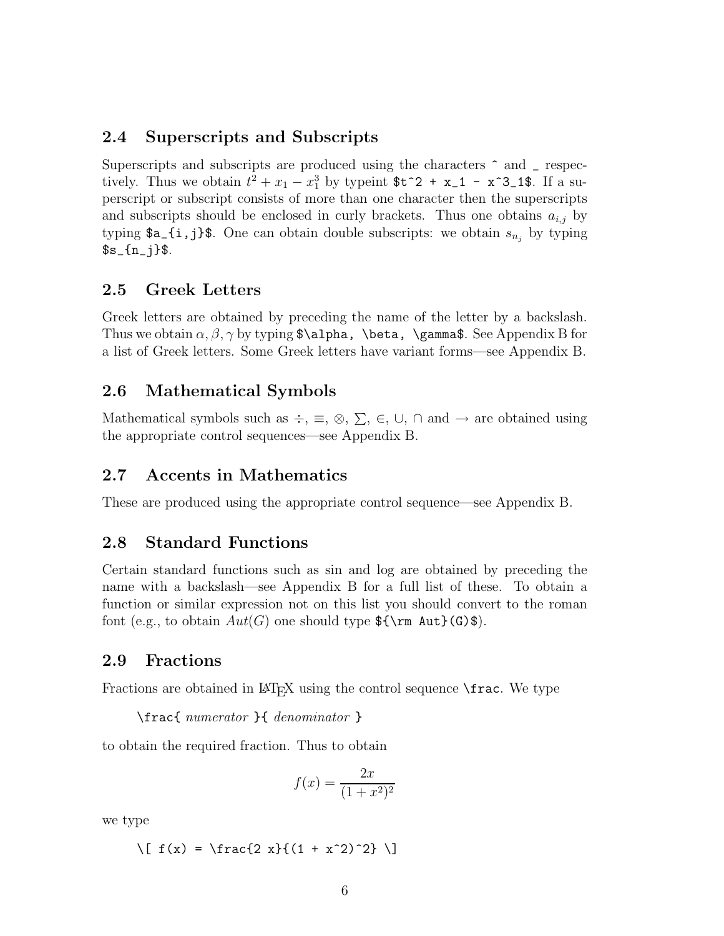## **2.4 Superscripts and Subscripts**

Superscripts and subscripts are produced using the characters ^ and \_ respectively. Thus we obtain  $t^2 + x_1 - x_1^3$  by typeint  $t^2 + x_1 - x^3$ . If a superscript or subscript consists of more than one character then the superscripts and subscripts should be enclosed in curly brackets. Thus one obtains  $a_{i,j}$  by typing  $a_{i,j}$  is. One can obtain double subscripts: we obtain  $s_{n_j}$  by typing  $\s_{s_{n-1}}$ 

## **2.5 Greek Letters**

Greek letters are obtained by preceding the name of the letter by a backslash. Thus we obtain  $\alpha$ ,  $\beta$ ,  $\gamma$  by typing \$\alpha, \beta, \gamma\$. See Appendix B for a list of Greek letters. Some Greek letters have variant forms—see Appendix B.

#### **2.6 Mathematical Symbols**

Mathematical symbols such as  $\div$ ,  $\equiv$ ,  $\otimes$ ,  $\sum$ ,  $\in$ ,  $\cup$ ,  $\cap$  and  $\rightarrow$  are obtained using the appropriate control sequences—see Appendix B.

## **2.7 Accents in Mathematics**

These are produced using the appropriate control sequence—see Appendix B.

## **2.8 Standard Functions**

Certain standard functions such as sin and log are obtained by preceding the name with a backslash—see Appendix B for a full list of these. To obtain a function or similar expression not on this list you should convert to the roman font (e.g., to obtain  $Aut(G)$  one should type  $\{\rm \Aut}(G)\$ ).

## **2.9 Fractions**

Fractions are obtained in  $\mathbb{F}_F X$  using the control sequence  $\frac{\frac{1}{\sqrt{2}}}{\frac{1}{\sqrt{2}}}$ 

\frac{ *numerator* }{ *denominator* }

to obtain the required fraction. Thus to obtain

$$
f(x) = \frac{2x}{(1+x^2)^2}
$$

we type

 $\[\ \{ f(x) = \frac{2 x}{(1 + x^2)^2} \]\]$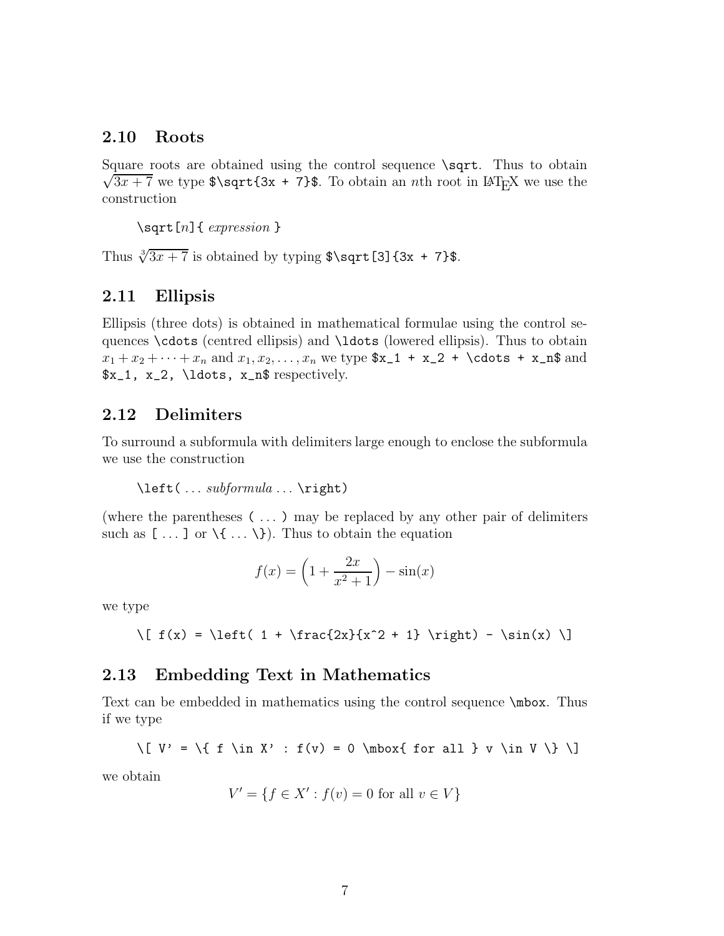### **2.10 Roots**

Square roots are obtained using the control sequence **\sqrt**. Thus to obtain  $\sqrt{3x+7}$  we type  $\sqrt{3x+7}$ . To obtain an *n*th root in LAT<sub>E</sub>X we use the construction

\sqrt[n]{ *expression* }

Thus  $\sqrt[3]{3x+7}$  is obtained by typing \$\sqrt[3]{3x + 7}\$.

#### **2.11 Ellipsis**

Ellipsis (three dots) is obtained in mathematical formulae using the control sequences \cdots (centred ellipsis) and \ldots (lowered ellipsis). Thus to obtain  $x_1 + x_2 + \cdots + x_n$  and  $x_1, x_2, \ldots, x_n$  we type  $x_1 + x_2 + \cdots + x_n$  and \$x\_1, x\_2, \ldots, x\_n\$ respectively.

#### **2.12 Delimiters**

To surround a subformula with delimiters large enough to enclose the subformula we use the construction

```
\left( ... subformula ... \right)
```
(where the parentheses ( ... ) may be replaced by any other pair of delimiters such as  $[\dots]$  or  $\setminus \{\dots \setminus\}$ . Thus to obtain the equation

$$
f(x) = \left(1 + \frac{2x}{x^2 + 1}\right) - \sin(x)
$$

we type

```
\{ f(x) = \left( 1 + \frac{2x}{x^2 + 1} \right) - \sin(x) \}
```
#### **2.13 Embedding Text in Mathematics**

Text can be embedded in mathematics using the control sequence  $\mathcal{N}_{\text{max}}$ . Thus if we type

$$
\{ V' = \{ f \in X' : f(v) = 0 \mod{ for all } v \in V \} \}
$$

we obtain

$$
V' = \{ f \in X' : f(v) = 0 \text{ for all } v \in V \}
$$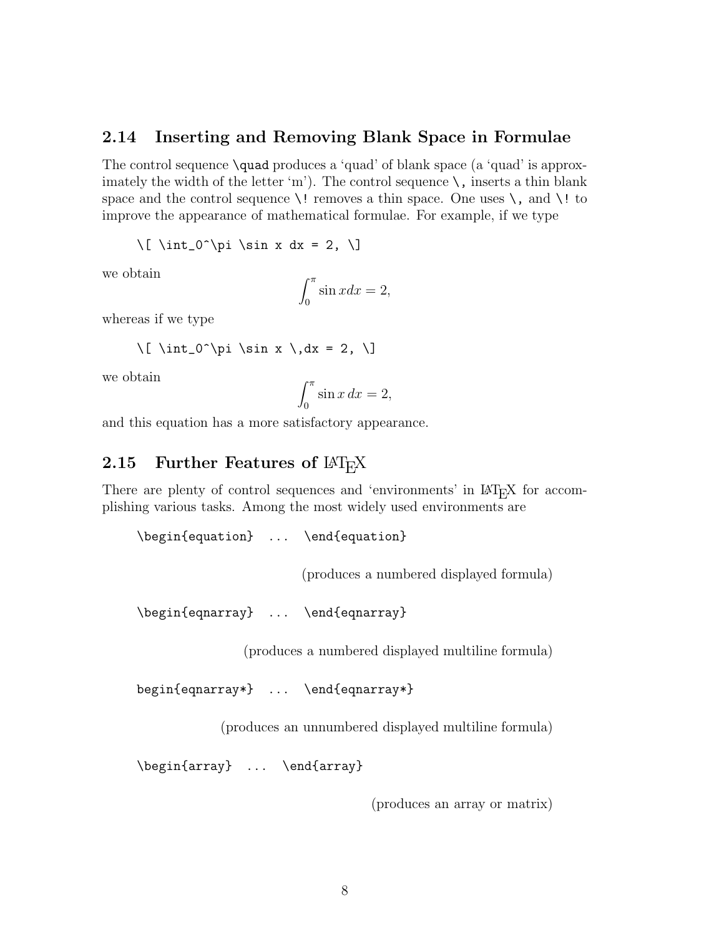#### **2.14 Inserting and Removing Blank Space in Formulae**

The control sequence \quad produces a 'quad' of blank space (a 'quad' is approximately the width of the letter 'm'). The control sequence  $\setminus$ , inserts a thin blank space and the control sequence  $\setminus$ ! removes a thin space. One uses  $\setminus$ , and  $\setminus$ ! to improve the appearance of mathematical formulae. For example, if we type

 $\lceil \int_0^{\pi} \sin x \, dx = 2, \lceil \}$ 

we obtain

$$
\int_0^\pi \sin x dx = 2,
$$

whereas if we type

$$
\[\int \int_0^{\pi} \sin x \, dx = 2, \]\]
$$

we obtain

$$
\int_0^\pi \sin x \, dx = 2,
$$

and this equation has a more satisfactory appearance.

# **2.15 Further Features of LAT<sub>E</sub>X**

There are plenty of control sequences and 'environments' in LAT<sub>E</sub>X for accomplishing various tasks. Among the most widely used environments are

\begin{equation} ... \end{equation}

(produces a numbered displayed formula)

```
\begin{eqnarray} ... \end{eqnarray}
```
(produces a numbered displayed multiline formula)

begin{eqnarray\*} ... \end{eqnarray\*}

(produces an unnumbered displayed multiline formula)

\begin{array} ... \end{array}

(produces an array or matrix)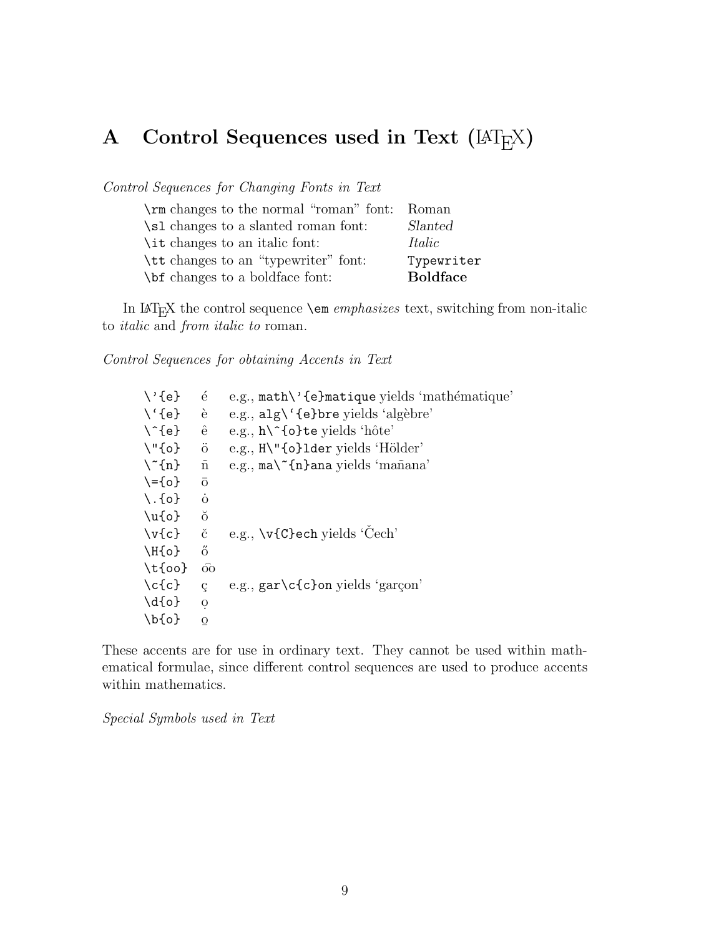# A Control Sequences used in Text ( $\text{[ATEX}$ )

*Control Sequences for Changing Fonts in Text*

| \rm changes to the normal "roman" font: | - Roman         |
|-----------------------------------------|-----------------|
| \sl changes to a slanted roman font:    | Slanted         |
| \ <i>it</i> changes to an italic font:  | Italic          |
| \tt changes to an "typewriter" font:    | Typewriter      |
| \bit changes to a boldface font:        | <b>Boldface</b> |

In  $\mathbb{A}\mathrm{T}_{\mathrm{E}}\mathrm{X}$  the control sequence  $\mathcal{A}$  em $\mathit{emphasizes}$  text, switching from non-italic to *italic* and *from italic to* roman*.*

*Control Sequences for obtaining Accents in Text*

| $\backslash$ '{e}         | é                    | e.g., math\'{e}matique yields 'mathématique' |
|---------------------------|----------------------|----------------------------------------------|
| $\setminus \{e\}$         | è                    | e.g., $alg \' \{e\}$ bre yields 'algèbre'    |
| $\backslash$ {e}          | ê                    | e.g., $h \in \{o\}$ te yields 'hôte'         |
| $\Upsilon$ "{o}           | $\ddot{\mathrm{o}}$  | e.g., $H\Upsilon$ (o}lder yields 'Hölder'    |
| $\langle \hat{n} \rangle$ | $\tilde{n}$          | e.g., ma\~{n}ana yields 'mañana'             |
| $\{-\{o\}$                | $\overline{O}$       |                                              |
| $\setminus$ . {o}         | $\Omega$             |                                              |
| $\u{o}$                   | $\breve{\mathrm{o}}$ |                                              |
| $\forall v\{c\}$          | č                    | e.g., \v{C}ech yields 'Cech'                 |
| $\H{o}$                   | ő                    |                                              |
| $\text{tdo}$              | $\widehat{O}O$       |                                              |
| $\c{c}$                   | ç                    | e.g., $gar\c\{c\}$ on yields 'garçon'        |
| $\{d\{o\}$                | $\mathbf O$          |                                              |
| $\bf \delta$              | O                    |                                              |
|                           |                      |                                              |

These accents are for use in ordinary text. They cannot be used within mathematical formulae, since different control sequences are used to produce accents within mathematics.

*Special Symbols used in Text*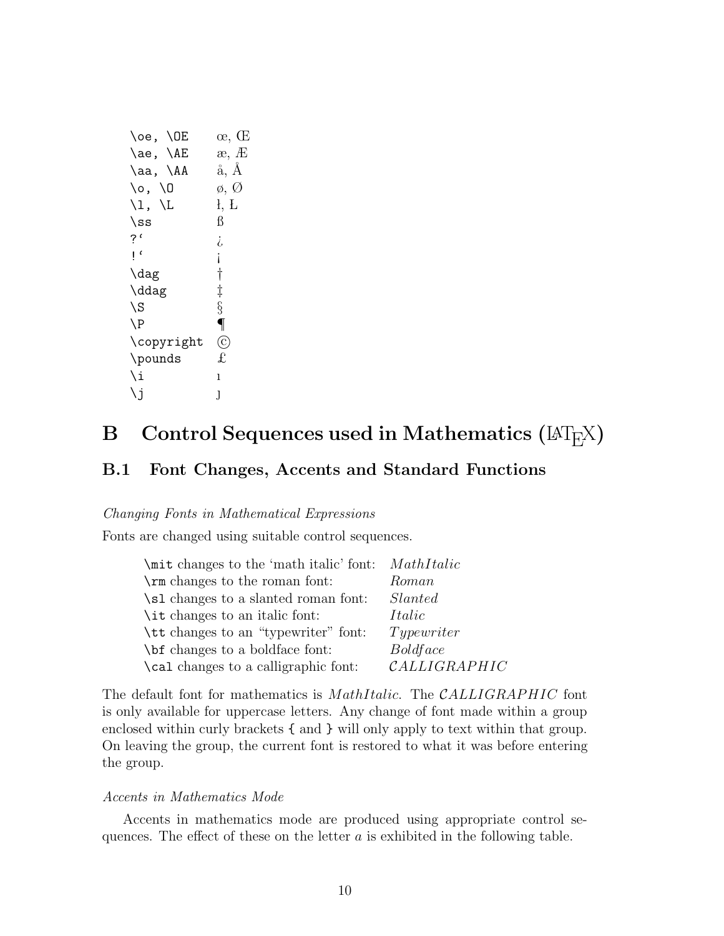| \oe, \OE                       | œ, Œ              |
|--------------------------------|-------------------|
| \ae, \AE                       | æ, Æ              |
| \aa, \AA                       | å, Å              |
| \o, \O                         | ø, Ø              |
| $\backslash$ l, $\backslash$ L | ł, Ł              |
| $\sqrt{\text{s}}$              | ß                 |
| ?'                             | į,                |
| $\mathsf{L}^{\mathsf{c}}$      | İ                 |
| \dag                           | $\dagger$         |
| \ddag                          | $\ddagger$        |
| \S                             | $\S$              |
| $\P$                           | $\overline{\P}$   |
| \copyright                     | $\left( 6\right)$ |
| \pounds                        | £                 |
| \i                             | ı                 |
| \j                             | J                 |
|                                |                   |

# **B** Control Sequences used in Mathematics ( $\text{[ATEX]}$ )

# **B.1 Font Changes, Accents and Standard Functions**

#### *Changing Fonts in Mathematical Expressions*

Fonts are changed using suitable control sequences.

| \mit changes to the 'math italic' font: MathItalic |                          |
|----------------------------------------------------|--------------------------|
| \rm changes to the roman font:                     | Roman                    |
| \sl changes to a slanted roman font:               | Slanted                  |
| \ <i>it</i> changes to an italic font:             | Italic                   |
| \tt changes to an "typewriter" font:               | Type writer              |
| \bet changes to a boldface font:                   | <i>Boldface</i>          |
| \cal changes to a calligraphic font:               | $\mathcal{C}ALLIGRAPHIC$ |

The default font for mathematics is *MathItalic*. The *CALLIGRAPHIC* font is only available for uppercase letters. Any change of font made within a group enclosed within curly brackets { and } will only apply to text within that group. On leaving the group, the current font is restored to what it was before entering the group.

#### *Accents in Mathematics Mode*

Accents in mathematics mode are produced using appropriate control sequences. The effect of these on the letter a is exhibited in the following table.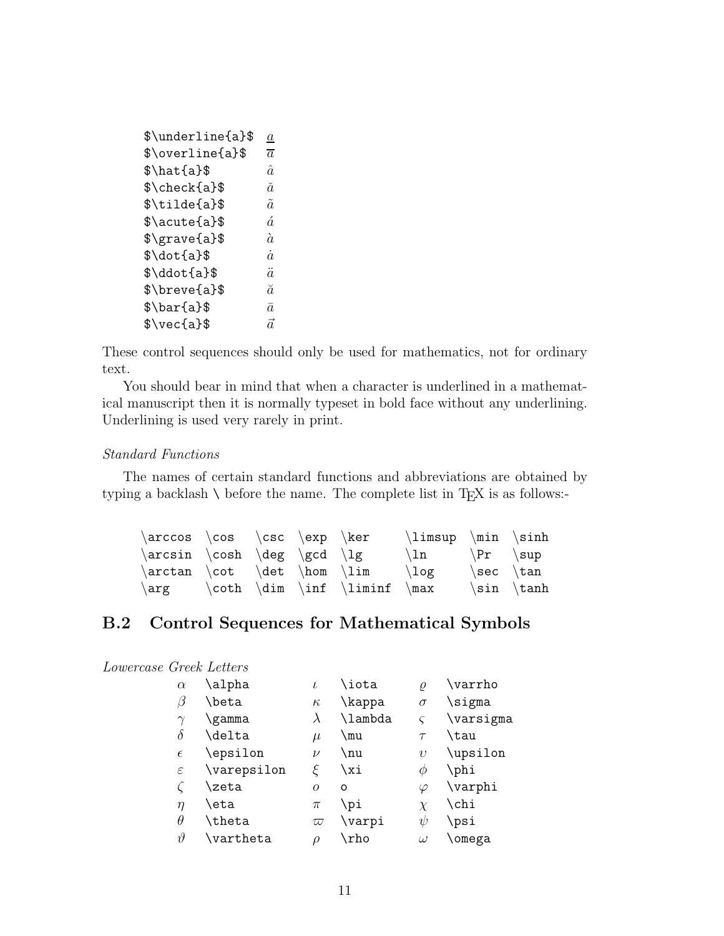| \$\underline{a}\$               | $\underline{a}$ |
|---------------------------------|-----------------|
| \$\overline{a}\$                | $\overline{a}$  |
| $\hat{\alpha}$                  | $\hat{a}$       |
| \$\check{a}\$                   | ă               |
| $\tilde{\xi}$                   | $\tilde{a}$     |
| \$\acute{a}\$                   | á               |
| $\frac{1}{8}$                   | à               |
| $\dot{\delta}$                  | $\dot{a}$       |
| \$\ddot{a}\$                    | $\ddot{a}$      |
| $\langle \text{brevea} \rangle$ | ă               |
| $\bar{\text{a}}$                | $\bar{a}$       |
| $\vec{\theta}$                  | $\vec{a}$       |
|                                 |                 |

These control sequences should only be used for mathematics, not for ordinary text.

You should bear in mind that when a character is underlined in a mathematical manuscript then it is normally typeset in bold face without any underlining. Underlining is used very rarely in print.

#### *Standard Functions*

The names of certain standard functions and abbreviations are obtained by typing a backlash  $\setminus$  before the name. The complete list in T<sub>E</sub>X is as follows:-

| $\arccos \cos \csc \exp \ker$ |  |                                     | $\limsup$ \min \sinh      |                                 |                 |
|-------------------------------|--|-------------------------------------|---------------------------|---------------------------------|-----------------|
| $\arcsin \cosh \deg \gcd \lg$ |  |                                     | $\ln \quad \{Pr \ \ \sup$ |                                 |                 |
|                               |  | $\arctan \cot \det \hom \lim \Big($ |                           | $\setminus$ sec $\setminus$ tan |                 |
| $\arg$                        |  | $\coth \dim \int \liminf \ \max$    |                           |                                 | $\sin \ \theta$ |

# **B.2 Control Sequences for Mathematical Symbols**

| Lowercase Greek Letters |  |
|-------------------------|--|
|                         |  |

| $\alpha$      | \alpha             | $\iota$   | \iota   | $\varrho$  | \varrho   |
|---------------|--------------------|-----------|---------|------------|-----------|
| $\beta$       | \beta              | $\kappa$  | \kappa  | $\sigma$   | \sigma    |
| $\gamma$      | \gamma             | $\lambda$ | \lambda |            | \varsigma |
| $\delta$      | \delta             | $\mu$     | \mu     | $\tau$     | \tau      |
| $\epsilon$    | \epsilon           | $\nu$     | \nu     | $\upsilon$ | \upsilon  |
| $\varepsilon$ | \varepsilon        | ε         | \xi     | Ф          | \phi      |
|               | \zeta              | $\Omega$  | O       | $\varphi$  | \varphi   |
| $\eta$        | \eta               | $\pi$     | \pi     | $\chi$     | \chi      |
| $\theta$      | \theta             | $\varpi$  | \varpi  | ψ          | \psi      |
| $\vartheta$   | $\verb \vartheta $ | ρ         | \rho    | $\omega$   | \omega    |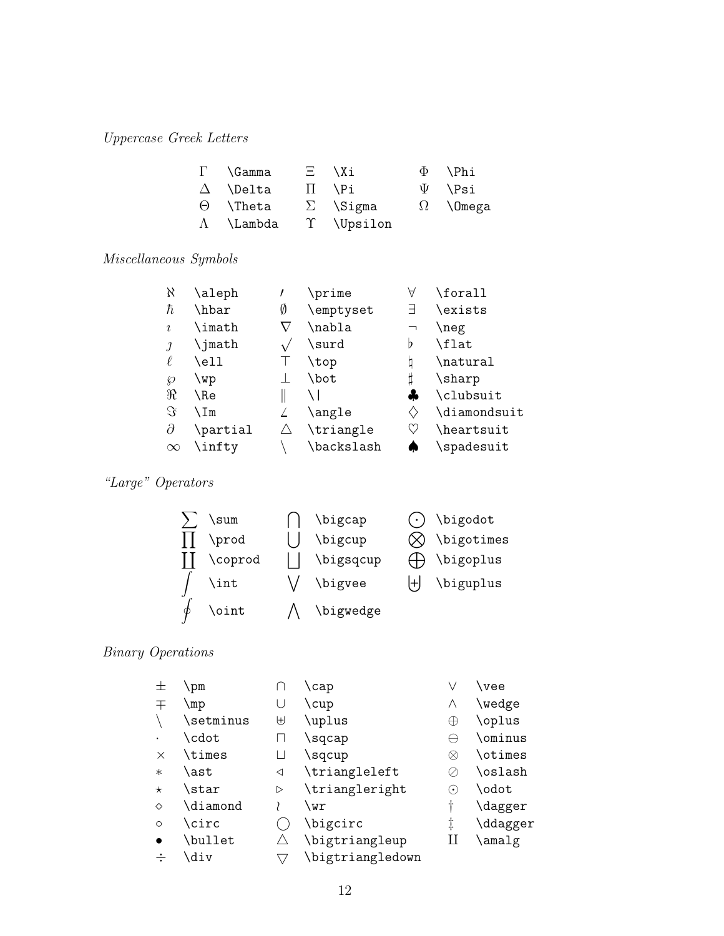# *Uppercase Greek Letters*

| $\Gamma$ \Gamma   | $\Xi$ \Xi       | $\Phi$ \Phi     |
|-------------------|-----------------|-----------------|
| $\Delta$ \Delta   | $\Pi$ \Pi       | $\Psi$ \Psi     |
| $\Theta$ \Theta   | $\Sigma$ \Sigma | $\Omega$ \Omega |
| $\Lambda$ \Lambda | T \Upsilon      |                 |

# *Miscellaneous Symbols*

| X          | \aleph   |   | \prime     | Α                              | \forall      |
|------------|----------|---|------------|--------------------------------|--------------|
| ħ          | \hbar    | Ø | \emptyset  | 극                              | \exists      |
| $\iota$    | \imath   |   | \nabla     | ⇁                              | \neg         |
| $\iota$    | \jmath   |   | \surd      | Þ                              | \flat        |
|            | \ell     |   | \top       |                                | \natural     |
| <b>Q</b>   | \wp      |   | \bot       |                                | \sharp       |
| $\Re$      | \Re      |   |            | ÷                              | \clubsuit    |
| $\Im$      | ∖Im      |   | \angle     | $\left\langle {}\right\rangle$ | \diamondsuit |
| $\partial$ | \partial |   | \triangle  | V                              | \heartsuit   |
| $\infty$   | \infty   |   | \backslash |                                | \spadesuit   |
|            |          |   |            |                                |              |

# *"Large" Operators*



# *Binary Operations*

| 士        | <b>pm</b> |              | \cap             |                            | \vee           |
|----------|-----------|--------------|------------------|----------------------------|----------------|
| 干        | \mp       |              | \cup             | Λ                          | \wedge         |
|          | \setminus | ⊎            | \uplus           | Æ                          | \oplus         |
|          | \cdot     |              | \sqcap           |                            | \ominus        |
| $\times$ | \times    | $\mathsf{L}$ | \sqcup           | ⊗                          | \otimes        |
| $\ast$   | \ast      | ◁            | \triangleleft    |                            | \oslash        |
| $\star$  | \star     | ▷            | \triangleright   | $(\,\boldsymbol{\cdot}\,)$ | \odot          |
| ♦        | \diamond  |              | \wr              | ╁                          | <b>\dagger</b> |
| $\circ$  | \circ     |              | \bigcirc         | ţ                          | \ddagger       |
|          | \bullet   |              | \bigtriangleup   |                            | \amalg         |
|          | \div      |              | \bigtriangledown |                            |                |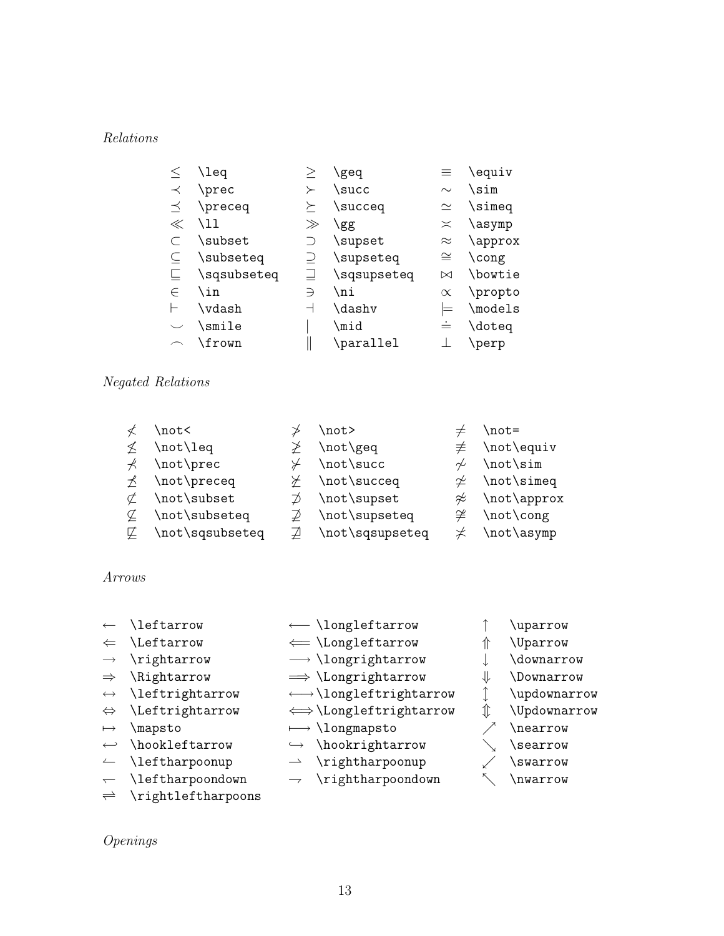# *Relations*

|         | \leq        |         | geq         | 亖         | \equiv              |
|---------|-------------|---------|-------------|-----------|---------------------|
| $\prec$ | \prec       | ≻       | \succ       | $\sim$    | \sim                |
| $\prec$ | \preceq     | $\succ$ | \succeq     | $\simeq$  | \simeq              |
| $\ll$   | \11         | $\gg$   | \gg         | $\asymp$  | \asymp              |
|         | \subset     |         | \supset     | $\approx$ | \approx             |
|         | \subseteq   |         | \supseteq   | $\cong$   | \cong               |
|         | \sqsubseteq |         | \sqsupseteq | $\bowtie$ | \bowtie             |
| $\in$   | \in         | ∋       | \ni         | $\propto$ | \propto             |
|         | \vdash      | ⊣       | \dashv      |           | $\backslash$ models |
|         | \smile      |         | \mid        | $\dot{=}$ | \doteq              |
|         | \frown      |         | \parallel   |           | \perp               |
|         |             |         |             |           |                     |

## *Negated Relations*

|         | \not<           | \not>           |        | $\not =$                  |
|---------|-----------------|-----------------|--------|---------------------------|
|         | \not\leq        | \not\geq        | ≢      | \not\equiv                |
|         | \not\prec       | \not\succ       | $\sim$ | \not\sim                  |
| $\star$ | \not\preceq     | \not\succeq     |        | $\neq \not\text{isimeq}$  |
|         | \not\subset     | \not\supset     |        | $\not\approx$ \not\approx |
| ¢       | \not\subseteq   | \not\supseteq   |        | $\neq \not\text{cong}$    |
| ¢.      | \not\sqsubseteq | \not\sqsupseteq |        | \not\asymp                |

#### *Arrows*

- ← \leftarrow ← \longleftarrow ↑ \uparrow
- ⇐ \Leftarrow ⇐= \Longleftarrow ⇑ \Uparrow
- → \rightarrow → \longrightarrow  $\downarrow$  \downarrow
- 
- ←→ \leftrightarrow ←→\longleftrightarrow ↑ \updownarrow
- ⇔ \Leftrightarrow ⇐⇒\Longleftrightarrow [ \Updownarrow
- $\mapsto$  \mapsto  $\mapsto$  \longmapsto  $\nearrow$  \nearrow
- $\leftrightarrow \text{hookleftarrow}$  \hookleftarrow  $\leftrightarrow \text{hookrightarrow}$  \searrow
- $\leftarrow$  \leftharpoonup  $\rightarrow$  \rightharpoonup  $\swarrow$  \swarrow
- 
- $\Rightarrow$  \rightleftharpoons
- *Openings*
- X \leftharpoondown Y \rightharpoondown ` \nwarrow
	-
	-
- -
- 
- 
- 
- 
- 
- 
- 
- 
- 
- ⇒ \Rightarrow =⇒ \Longrightarrow ⇓ \Downarrow
- 
- 
- 
- 
- 
- 
- 
- 
- -
- -
	-
	-
- 
- 
- 
- 
- 
- 
-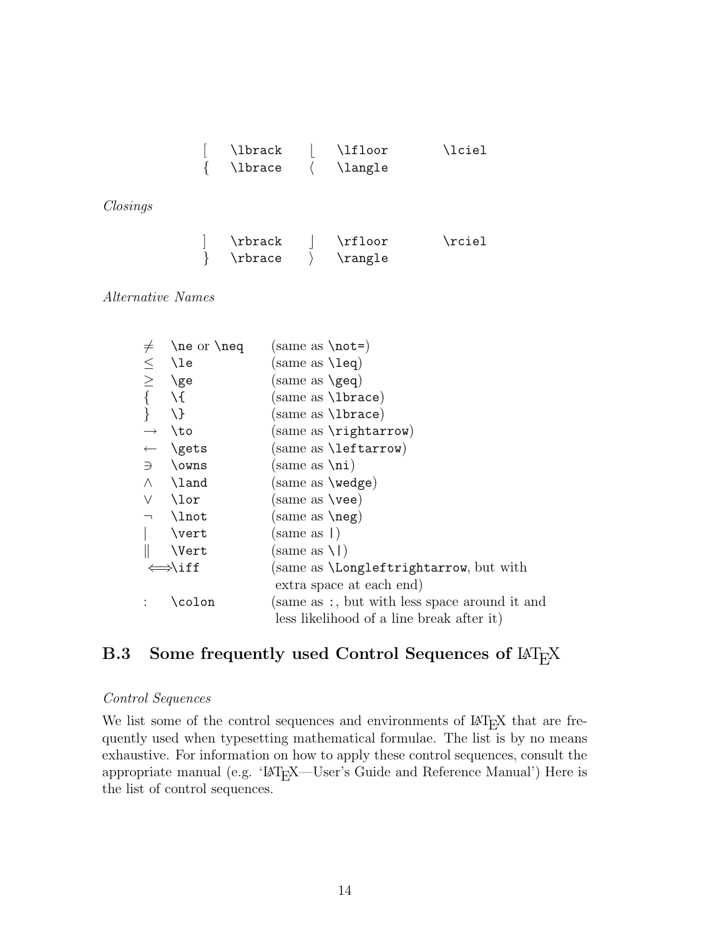| \lbrack | \lfloor | \lciel |
|---------|---------|--------|
| \lbrace | \langle |        |

*Closings*

| \rbrack | \rfloor | \rciel |
|---------|---------|--------|
| \rbrace | \rangle |        |

#### *Alternative Names*

| $\neq$                   | $\neq$ or $\neq$   | (same as $\text{not=}$ )                           |
|--------------------------|--------------------|----------------------------------------------------|
|                          | \le                | $(same as \leq)$                                   |
| $\leq$                   | ∖ge                | $(same as \geq)$                                   |
| $\left\{ \right.$        | $\setminus$ {      | (same as <b>\lbrace</b> )                          |
|                          | $\setminus$        | (same as <b>\lbrace</b> )                          |
| $\longrightarrow$        | \to                | (same as $\rightarrow$ )                           |
|                          | <b>\gets</b>       | $(same as \left\backslash \text{leftarrow}\right)$ |
|                          | $\exists$ \owns    | $(same as \n\ni)$                                  |
| $\wedge$                 | \land              | $(same as \n\wedge edge)$                          |
| V                        | \lor               | (same as <b>\vee</b> )                             |
| $\overline{\phantom{a}}$ | \lnot              | (same as <b>\neg</b> )                             |
|                          | \vert              | $(same as \)$                                      |
|                          | \Vert              | $(same as \1)$                                     |
|                          | $\Rightarrow$ \iff | (same as <b>\Longleftrightarrow</b> , but with     |
|                          |                    | extra space at each end)                           |
|                          | \colon             | (same as :, but with less space around it and      |
|                          |                    | less likelihood of a line break after it)          |

# **B.3** Some frequently used Control Sequences of  $\text{LAT}_E X$

#### *Control Sequences*

We list some of the control sequences and environments of  $M_{\rm EX}$  that are frequently used when typesetting mathematical formulae. The list is by no means exhaustive. For information on how to apply these control sequences, consult the appropriate manual (e.g. 'LAT<sub>E</sub>X—User's Guide and Reference Manual') Here is the list of control sequences.